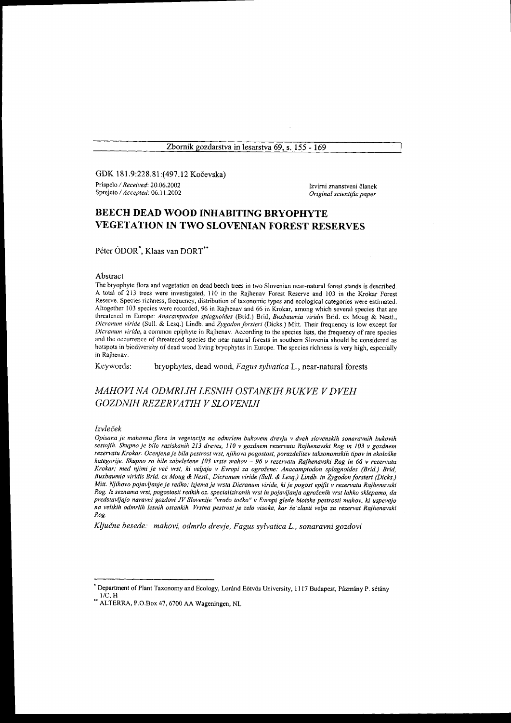Zbornik gozdarstva in lesarstva 69, s. 155 - 169

GDK 181.9:228.81:(497.12 Kočevska) Prispelo / Received: 20.06.2002 Sprejeto / Accepted: 06.11.2002

Izvirni znanstveni članek Original scientific paper

# BEECH DEAD WOOD INHABITING BRYOPHYTE VEGETATION IN TWO SLOVENIAN FOREST RESERVES

Péter ÓDOR<sup>\*</sup>, Klaas van DORT<sup>\*\*</sup>

### Abstract

The bryophyte flora and vegetation on dead beech trees in two Slovenian near-natural forest stands is described. A total of2l3 trees were investigated, ll0 in the Rajhenav Forest Reserve and 103 in the Krokar Forest Reserve. Species richness, frequency, distribution of taxonomic types and ecological categories were estimated. Altogether 103 species were recorded, 96 in Rajhenav and 66 in Krokar, among which several species that are threatened in Europe: Anacamptodon splagnoides (Brid.) Brid, Buxbaumia viridis Brid. ex Moug & Nestl., Dicranum viride (Sull. & Lesq.) Lindb. and Zygodon forsteri (Dicks.) Mitt. Their frequency is low except for Dicranum viride, a common epiphyte in Rajhenav. According to the species lists, the frequency of rare species and the occurrence of threatened species the near natural forests in southem Slovenia should be considered as hotspots in biodiversity of dead wood living bryophytes in Europe. The species richness is very high, especially in Rajhenav.

Keywords: bryophytes, dead wood, Fagus sylvatica L., near-natural forests

## MAHOVI NA ODMRLIH LESNIH OSTANKIH BUKVE Y DVEH GOZDNIH REZERVATIH V SLOVENIJI

#### Izvleček

Opisana je mahovna flora in vegetacija na odmrlem bukovem dreuju v dveh slovenskih sonarawrih bukovih sestojih. Skupno je bilo raziskanih 213 dreves, 110 v gozdnem rezervatu Rajhenavski Rog in 103 v gozdnem rezervatu Krokar. Ocenjena je bila pestrost vrst, njihova pogostost, porazdelitev taksonomskih tipov in ekološke kategorije. Skupno so bile zabeležene 103 vrste mahov - 96 v rezervatu Rajhenavski Rog in 66 v rezervatu Krokar; med njimi je več vrst, ki veljajo v Evropi za ogrožene: Anacamptodon splagnoides (Brid.) Brid, Buxbaumia viridis Brid. ex Moug & Nestl., Dicranum viide (Sull. & Lesq.) Lindb. in Zygodon forsteri (Dicks.) Mitt. Njihovo pojavljanje je redko; izjema je vrsta Dicranum viride, ki je pogost epifit v rezervatu Rajhenavski Rog. Iz seznama vrst, pogostosti redkih oz. specializiranih vrst in pojavljanja ogroženih vrst lahko sklepamo, da predstavljajo naravni gozdovi JV Slovenije "vročo točko" v Evropi glede biotske pestrosti mahov, ki uspevajo na velikih odmrlih lesnih ostankih. yrsfia pestost je zelo visoka, kar ie zlasti velja za rezewat Rajhenavski Rog.

Ključne besede: mahovi, odmrlo drevje, Fagus sylvatica L., sonaravni gozdovi

b<br>Department of Plant Taxonomy and Ecology, Loránd Eötvös University, 1117 Budapest, Pázmány P. sétány I/C. H

<sup>&</sup>quot; ALTERRA, P.O.Box 47,6700 AA Wageningen, NL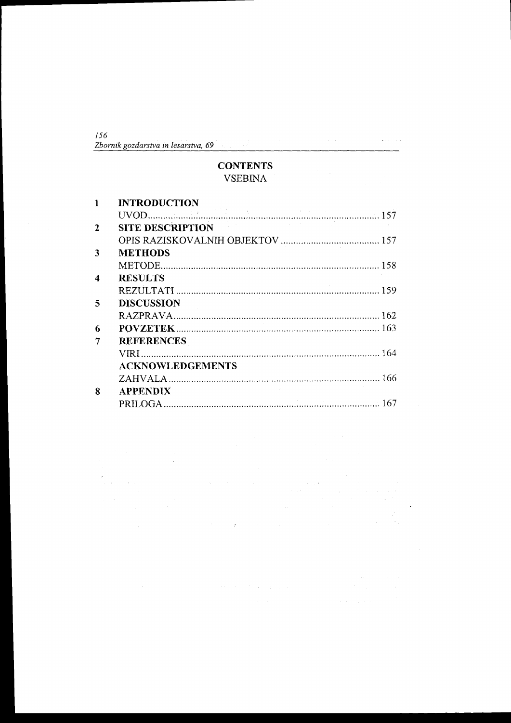| -156                                |  |  |  |
|-------------------------------------|--|--|--|
| Zbornik gozdarstva in lesarstva, 69 |  |  |  |

# **CONTENTS** VSEBINA

|   | <b>INTRODUCTION</b>     |  |
|---|-------------------------|--|
|   |                         |  |
|   | SITE DESCRIPTION        |  |
|   |                         |  |
| 3 | <b>METHODS</b>          |  |
|   |                         |  |
|   | <b>RESULTS</b>          |  |
|   |                         |  |
| 5 | <b>DISCUSSION</b>       |  |
|   |                         |  |
| 6 |                         |  |
|   | <b>REFERENCES</b>       |  |
|   |                         |  |
|   | <b>ACKNOWLEDGEMENTS</b> |  |
|   |                         |  |
| 8 | <b>APPENDIX</b>         |  |
|   |                         |  |

 $\sim$ 

 $\omega_{\rm c}$  ,  $\omega_{\rm c}$ 

 $\hat{\boldsymbol{\beta}}$ 

 $\hat{\boldsymbol{\beta}}$ 

 $\sim$ 

 $\bar{z}$ 

 $\ddot{\phantom{a}}$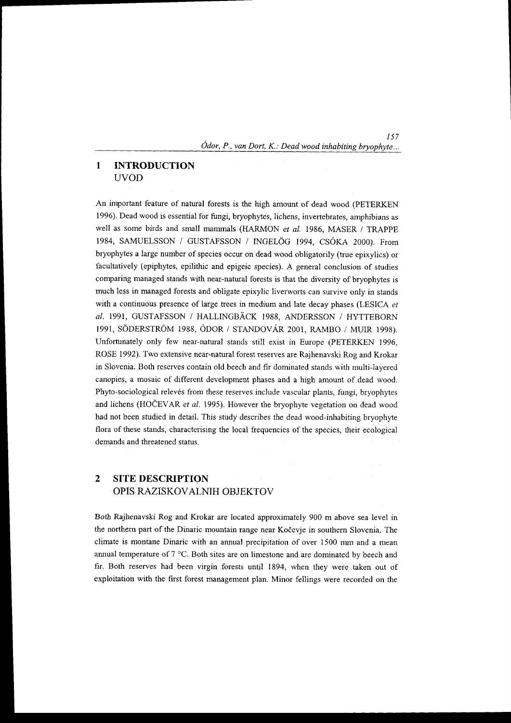157  $\acute{o}$ dor, P., van Dort, K.: Dead wood inhabiting bryophyte...

#### $\mathbf{1}$ INTRODUCTION UVOD

An important feature of natural forests is the high amount of dead wood (pETERKEN 1996). Dead wood is essential for fungi, bryophytes, lichens, invertebrates, amphibians as well as some birds and small mammals (HARMON et al. 1986, MASER / TRAPPE 1984, SAMUELSSON / GUSTAFSSON / INGELOG 1994, CSOKA 2000). From bryophytes a large number of species occur on dead wood obligatorily (true epixylics) or facultatively (epiphytes, epilithic and epigeic species). A general conclusion of studies comparing managed stands with near-natural forests is that the diversity of bryophyes is much less in managed forests and obligate epixylic liverworts can survive only in stands with a continuous presence of large trees in medium and late decay phases (LESICA et al. 1991, GUSTAFSSON / HALLINGBÄCK 1988, ANDERSSON / HYTTEBORN 1991, SODERSTROM 1988, ODOR / STANDOVAR 2OOT, RAMBO / MUIR 1998). Unfortunately only few near-natural stands still exist in Europe (PETERKEN 1996, ROSE I 992). Two extensive near-natural forest reserves are Rajhenavski Rog and Krokar in Slovenia. Both reserves contain old beech and fir dominated stands with multi-layered canopies, a mosaic of different development phases and a high amount of dead wood. Phyto-sociological relevés from these reserves include vascular plants, fungi, bryophytes and lichens (HOČEVAR et al. 1995). However the bryophyte vegetation on dead wood had not been studied in detail. This study describes the dead wood-inhabiting bryophyte flora of these stands, characterising the local frequencies of the species, their ecological demands and threatened status.

#### $\overline{2}$ SITE DESCRIPTION OPIS RAZISKOVALNIH OBJEKTOV

Both Rajhenavski Rog and Krokar are located approximately 900 m above sea level in the northern part of the Dinaric mountain range near Kočevje in southern Slovenia. The climate is montane Dinaric with an annual precipitation of over 1500 mm and a mean annual temperature of  $7 \degree C$ . Both sites are on limestone and are dominated by beech and fir. Both reseryes had been virgin forests until 1894, when they were taken out of exploitation with the first forest management plan. Minor fellings were recorded on the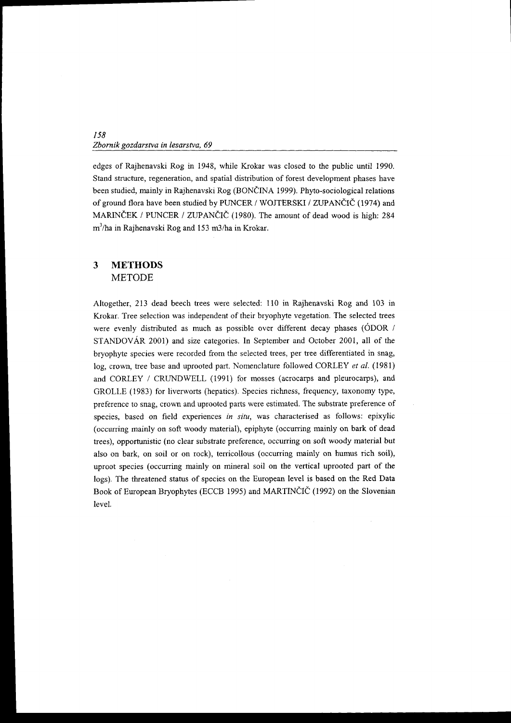edges of Rajhenavski Rog in 1948, while Krokar was closed to the public until 1990. Stand structure, regeneration, and spatial distribution of forest development phases have been studied, mainly in Rajhenavski Rog (BONČINA 1999). Phyto-sociological relations of ground flora have been studied by PUNCER / WOJTERSKI / ZUPANČIČ (1974) and MARINČEK / PUNCER / ZUPANČIČ (1980). The amount of dead wood is high: 284  $m<sup>3</sup>/ha$  in Rajhenavski Rog and 153 m3/ha in Krokar.

#### $\overline{\mathbf{3}}$ METHODS METODE

Altogether, 213 dead beech trees were selected: 110 in Rajhenavski Rog and 103 in Krokar. Tree selection was independent of their bryophyte vegetation. The selected trees were evenly distributed as much as possible over different decay phases (ODOR / STANDOVAR 2001) and size categories. In September and October 2001, all of the bryophyte species were recorded from the selected trees, per tree differentiated in snag, log, crown, tree base and uprooted part. Nomenclature followed CORLEY et al. (1981) and CORLEY / CRUNDWELL (1991) for mosses (acrocarps and pleurocarps), and GROLLE (1983) for liverworts (hepatics). Species richness, frequency, taxonomy type, preference to snag, crown and uprooted parts were estimated. The substrate preference of species, based on field experiences in situ, was characterised as follows: epixylic (occurring mainly on soft woody material), epiphyte (occurring mainly on bark of dead trees), opportunistic (no clear substrate preference, occurring on soft woody material but also on bark, on soil or on rock), terricollous (occurring mainly on humus rich soil), uproot species (occurring mainly on mineral soil on the vertical uprooted part of the logs). The threatened status of species on the European level is based on the Red Data Book of European Bryophytes (ECCB 1995) and MARTINCIC (1992) on the Slovenian level.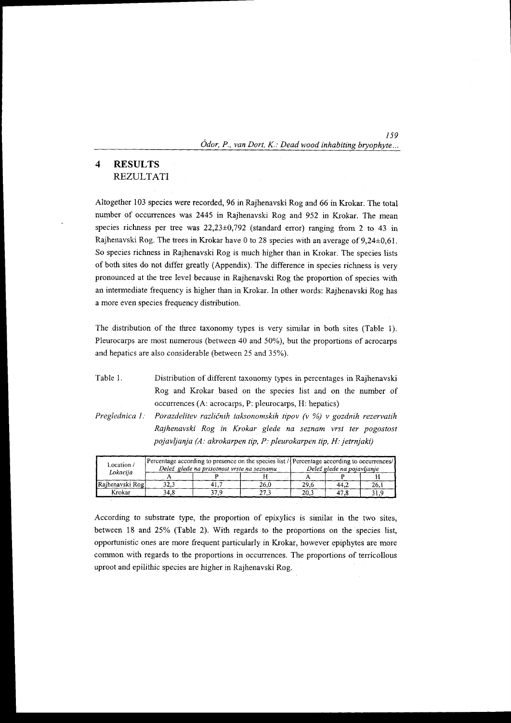### 159  $\dot$ Odor, P., van Dort, K.: Dead wood inhabiting bryophyte...

#### $\overline{4}$ RESULTS **REZULTATI**

Altogether 103 species were recorded, 96 in Rajhenavski Rog and 66 in Krokar. The total number of occurrences was 2445 in Rajhenavski Rog and 952 in Krokar. The mean species richness per tree was  $22,23\pm0,792$  (standard error) ranging from 2 to 43 in Rajhenavski Rog. The trees in Krokar have 0 to 28 species with an average of 9,24+0,61. So species richness in Rajhenavski Rog is much higher than in Krokar. The species lists ofboth sites do not differ greatly (Appendix). The difference in species richness is very pronounced at the tree level because in Rajhenavski Rog the proportion of species with an intermediate frequency is higher than in Krokar. In other words: Rajhenavski Rog has a more even species ffequency distribution.

The distribution of the three taxonomy types is very similar in both sites (Table l). Pleurocarps are most numerous (between 40 and 50%), but the proportions of acrocarps and hepatics are also considerable (between 25 and 35%).

Table 1. Distribution of different taxonomy types in percentages in Rajhenavski Rog and Krokar based on the species list and on the number of occurrences (A: acrocarps, P: pleurocarps, H: hepatics)

Porazdelitev različnih taksonomskih tipov (v %) v gozdnih rezervatih Rajhenavski Rog in Krokar glede na seznam vrst ter pogostost pojavljanja (A: akrokarpen tip, P: pleurokarpen tip, H: jetrnjaki) Preglednica I

| Location /<br>Lokacija |      | Delež glede na prisotnost vrste na seznamu | Percentage according to presence on the species list / Percentage according to occurrences/<br>Delež glede na pojavljanje |      |      |      |
|------------------------|------|--------------------------------------------|---------------------------------------------------------------------------------------------------------------------------|------|------|------|
|                        |      |                                            |                                                                                                                           |      |      |      |
| Rajhenavski Rog        | 32.3 |                                            | 26.0                                                                                                                      | 29.6 | 44,2 | 26.  |
| Krokar                 | 34.8 | 37.9                                       | 27.3                                                                                                                      | 20.3 | 47.8 | ي 31 |

According to substrate type, the proportion of epixylics is similar in the two sites, between 18 and 25% (Table 2). With regards to the proportions on the species list, opportunistic ones are more frequent particularly in Krokar, however epiphytes are more common with regards to the proportions in occurrences. The proportions of terricollous uproot and epilithic species are higher in Rajhenavski Rog.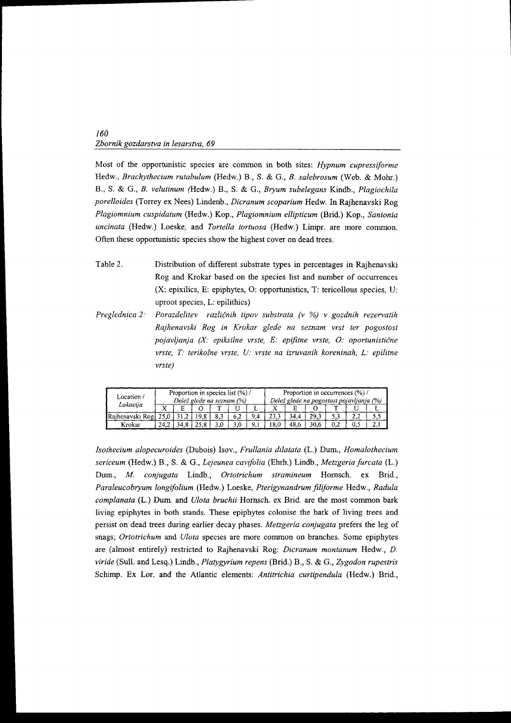Most of the opportunistic species are common in both sites: Hypnum cupressiforme Hedw., Brachythecium rutabulum (Hedw.) B., S. & G., B. salebrosum (Web. & Mohr.) 8., S. & G., B. velutinum (Tledw.) B., S. & G., Bryum subelegans Kindb., Plagiochila porelloides (Torrey ex Nees) Lindenb., Dicranum scoparium Hedw. In Rajhenavski Rog Plagiomnium cuspidatum (Hedw.) Kop., Plagiomnium ellipticun (Brid.) Kop., Sanionia uncinata (Hedw.) Loeske, and Tortella tortuosa (Hedw.) Limpr. are more common. Often these opportunistic species show the highest cover on dead trees.

- Table 2. Distribution of different substrate types in percentages in Rajhenavski Rog and Krokar based on the species list and number of occurrences  $(X:$  epixilics, E: epiphytes, O: opportunistics, T: tericollous species, U: uproot species, L: epilithics)
- Preglednica 2: Porazdelitev različnih tipov substrata (v %) v gozdnih rezervatih Rajhenavski Rog in Krokar glede na seznam vrst ter pogostost pojavljanja  $(X:$  epiksilne vrste,  $E:$  epifitne vrste,  $O:$  oportunistične vrste,  $T$ : terikolne vrste,  $U$ : vrste na izruvanih koreninah, L: epilitne vrste)

| Location/       | Proportion in species list (%) /<br>Delež glede na seznam (%) |     |  |     |     | Proportion in occurrences (%) /<br>Delež glede na pogostost pojavljanja (%) |      |      |      |  |     |    |
|-----------------|---------------------------------------------------------------|-----|--|-----|-----|-----------------------------------------------------------------------------|------|------|------|--|-----|----|
| Lokacija        |                                                               |     |  | -77 |     | ∸                                                                           |      |      |      |  |     |    |
| Rajhenavski Rog |                                                               |     |  | 8,3 | 6,2 | 9.4                                                                         |      | 34.4 |      |  |     |    |
| Krokar          | 24.2                                                          | 34. |  |     |     |                                                                             | 18.0 | 48.6 | 30.6 |  | 0.5 | 4. |

Isothecium alopecuroides (Dubois) Isov., Frullania dilatata (L.) Dum., Homalothecium sericeum (Hedw.) B., S. & G., Lejeunea cavifolia (Ehrh.) Lindb., Metzgeria furcata (L.) Dum., M. conjugata Lindb., Ortotrichum stramineum Hornsch. ex Brid., Paraleucobryum longifolium (Hedw.) Loeske, Pterigynandrum filiforme Hedw., Radula complanata (L.) Dum and Ulota bruchii Hornsch. ex Brid. are the most common bark living epiphytes in both stands. These epiphytes colonise the bark of living trees and persist on dead trees during earlier decay phases. Metzgeria conjugata prefers the leg of snags; Ortotrichum and Ulota species are more common on branches. Some epiphytes are (almost entirely) restricted to Rajhenavski Rog: Dicranum montanum Hedw., D. viride (Sull. and Lesq.) Lindb., Platygyrium repens (Brid.)  $B_1$ , S. & G., Zygodon rupestris Schimp. Ex Lor. and the Atlantic elements: Antitrichia curtipendula (Hedw.) Brid.,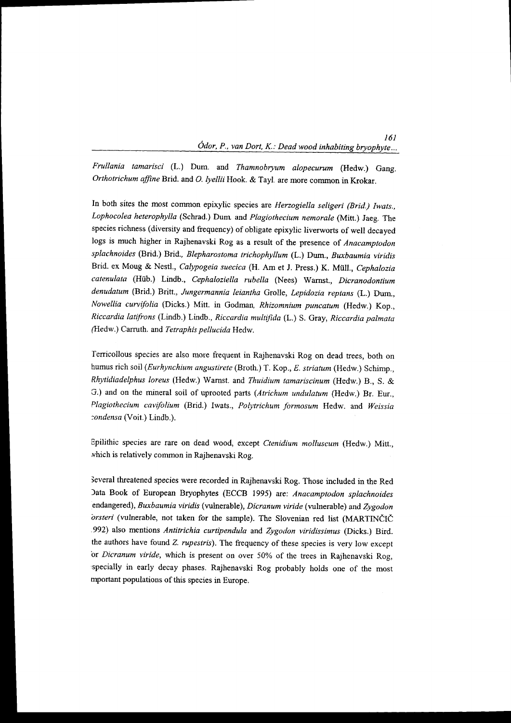# 161<br>... Ódor, P., van Dort, K.: Dead wood inhabiting bryophyte

Frullania tamarisci (L.) Dum. and Thamnobryum alopecurum (Hedw.) Gang. Orthotrichum affine Brid. and O. lyellii Hook. & Tayl. are more common in Krokar.

In both sites the most common epixylic species are Herzogiella seligeri (Brid.) Iwats., Lophocolea heterophylla (Schrad.) Dum and Plagiothecium nemorale (Mitt.) Jaeg. The species richness (diversity and frequency) of obligate epixylic liverworts of well decayed logs is much higher in Rajhenavski Rog as a result of the presence of Anacamptodon splachnoides (Brid.) Brid., Blepharostoma trichophyllum (L.) Dum., Buxbaumia viridis Brid. ex Moug & Nestl., Calypogeia suecica (H. Am et J. Press.) K. Müll., Cephalozia catenulata (Hiib.) Lindb., cephaloziella rubella (Nees) wamst., Dicranodontium denudatum (Brid.) Britt., Jungermannia leiantha Grolle, Lepidozia reptans (L.) Dum., Nowellia curvifolia (Dicks.) Mitt. in Godman, Rhizomnium puncatum (Hedw.) Kop., Riccardia lattfrons (Lindb.) Lindb., Riccardia muttifida (L.) s. Gray, Riccardia palmata (Hedw.) Carruth. and Tetraphis pellucida Hedw.

Tenicollous species are also more frequent in Rajhenavski Rog on dead trees, both on humus rich soil (Eurhynchium angustirete (Broth.) T. Kop., E. striatum (Hedw.) Schimp., Rhytidiadelphus loreus (Hedw.) Warnst. and Thuidium tamariscinum (Hedw.) 8., S. & G.) and on the mineral soil of uprooted parts (Atrichum undulatum (Hedw.) Br. Eur., Plagiothecium cavifolium (Brid.) Iwats., Polytrichum formosum Hedw. and Weissia :ondensa (Voit.) Lindb.).

Epilithic species are rare on dead wood, except ctenidium molluscum (Hedw.) Mitt., rhich is relatively common in Rajhenavski Rog.

ieveral threatened species were recorded in Rajhenavski Rog. Those included in the Red )ata Book of European Bryophytes (ECCB 1995) are: Anacamptodon splachnoides endangered), Buxbaumia viridis (vulnerable), Dicranum viride (vulnerable) and Zygodon orsteri (vulnerable, not taken for the sample). The Slovenian red list (MARTINČIČ .992) also mentions Antitrichia curtipendula and Zygodon viridissimus (Dicks.) Bird. the authors have found Z. rupestris). The frequency of these species is very low except 'or Dicranum viride, which is present on over 50% of the trees in Rajhenavski Rog, rspecially in early decay phases. Rajhenavski Rog probably holds one of the most mportant populations of this species in Europe.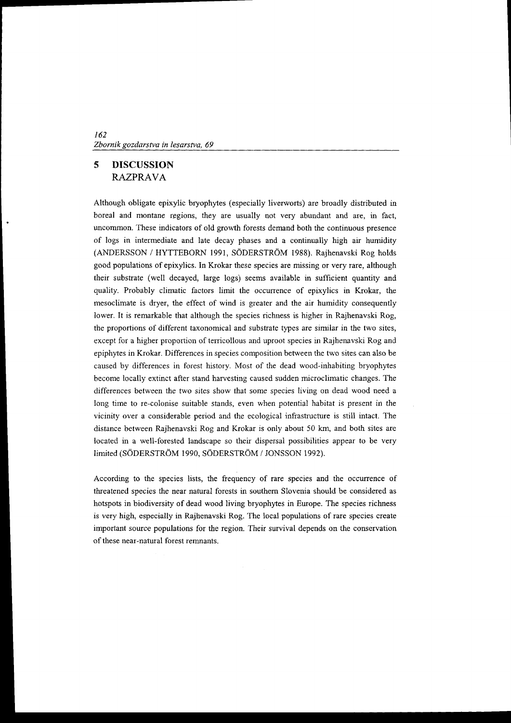#### 5 DISCUSSION RAZPRAVA

Although obligate epixylic bryophytes (especially liverworts) are broadly distributed in boreal and montane regions, they are usually not very abundant and are, in fact, uncommon. These indicators of old growth forests demand both the continuous presence of logs in intermediate and late decay phases and a continually high air humidity (ANDERSSON / HYTTEBORN 1991, SODERSTROM 1988). Rajhenavski Rog holds good populations ofepixylics. In Krokar these species are missing or very rare, although their subshate (well decayed, large logs) seems available in sufficient quantity and quality. Probably climatic factors limit the occunence of epixylics in Krokar, the mesoclimate is dryer, the effect of wind is greater and the air humidity consequently lower. It is remarkable that although the species richness is higher in Rajhenavski Rog, the proportions of different taxonomical and substrate types are similar in the two sites, except for a higher proportion of terricollous and uproot species in Rajhenavski Rog and epiphytes in Krokar. Differences in species composition between the two sites can also be caused by differences in forest history. Most of the dead wood-inhabiting bryophytes become locally extinct after stand harvesting caused sudden microclimatic changes. The differences between the fwo sites show that some species living on dead wood need a long time to re-colonise suitable stands, even when potential habitat is present in the vicinity over a considerable period and the ecological infrastructure is still intact. The distance between Rajhenavski Rog and Krokar is only about 50 km, and both sites are located in a well-forested landscape so their dispersal possibilities appear to be very limited (SÖDERSTRÖM 1990, SÖDERSTRÖM / JONSSON 1992).

According to the species lists, the frequency of rare species and the occurrence of threatened species the near nafural forests in southem Slovenia should be considered as hotspots in biodiversity of dead wood living bryophytes in Europe. The species richness is very high, especially in Rajhenavski Rog. The local populations of rare species create important source populations for the region. Their survival depends on the conservation of these near-nafural forest remnants.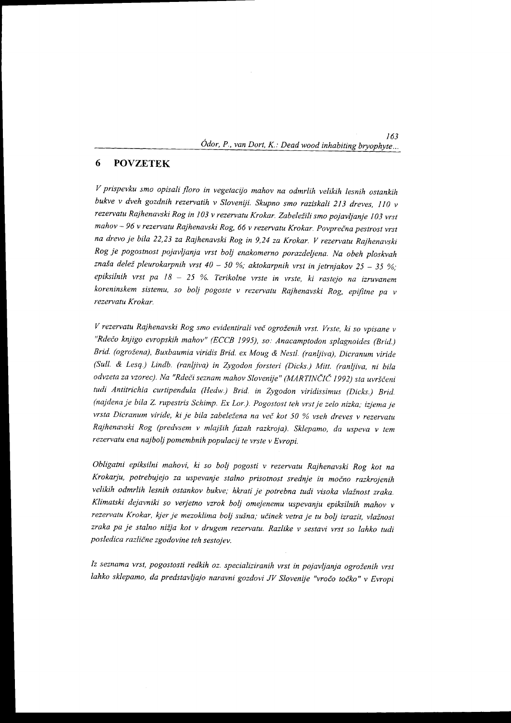### 163  $\acute{o}$ dor, P., van Dort, K.: Dead wood inhabiting bryophyte...

#### POVZETEK 6

V prispevku smo opisali floro in vegetacijo mahov na odmrlih velikih lesnih ostankih bukve v dveh gozdnih rezervatih v Sloveniji. Skupno smo raziskali 213 dreves, 110 v rezervatu Rajhenavski Rog in 103 v rezervatu Krokar. Zabeležili smo pojavljanje 103 vrst mahov - 96 v rezervatu Rajhenavski Rog, 66 v rezervatu Krokar. Povprečna pestrost vrst na drevo je bila 22,2j za Rajhenavski Rog in 9,24 za Krokar. y rezervatu Rajhenavski Rog je pogostnost pojavljanja vrst bolj enakomerno porazdeljena. Na obeh ploskvah znaša delež pleurokarpnih vrst 40 - 50 %; aktokarpnih vrst in jetrnjakov 25 - 35 %; epiksilnih vrst pa  $18 - 25$  %. Terikolne vrste in vrste, ki rastejo na izruvanem koreninskem sistemu, so bolj pogoste v rezervatu Rajhenavski Rog, epifitne pa v rezervatu Krokar.

V rezervatu Rajhenavski Rog smo evidentirali več ogroženih vrst. Vrste, ki so vpisane v "Rdečo knjigo evropskih mahov" (ECCB 1995), so: Anacamptodon splagnoides (Brid.) Brid. (ogrožena), Buxbaumia viridis Brid. ex Moug & Nestl. (ranljiva), Dicranum viride (Sull. & Lesq.) Lindb. (ranljiva) in Zygodon forsteri (Dicks.) Mitt. (ranljiva, ni bila odvzeta za vzorec). Na "Rdeči seznam mahov Slovenije" (MARTINČIČ 1992) sta uvrščeni tudi Antitrichia curtipendula (Hedw.) Brid. in Zygodon viridissimus (Dicks.) Brid. (najdena je bila Z. rupestris Schimp. Ex Lor.). Pogostost teh vrst je zelo nizka; izjema je vrsta Dicranum viride, ki je bila zabeležena na več kot 50 % vseh dreves v rezervatu Rajhenavski Rog (predvsem v mlajiih fazah razkroja). sklepamo, da uspeva v tem rezervatu ena najbolj pomembnih populacij te vrste v Evropi.

obligatni epiksilni mahovi, ki so bolj pogosti v rezewetu Rajhenavski Rog kot na Krokarju, potrebujejo za uspevanje stalno prisotnost srednje in močno razkrojenih velikih odmrlih lesnih ostankov bukve; hkrati je potrebna tudi visoka vlažnost zraka. Klimatski dejavniki so verjetno vzrok bolj omejenemu uspevanju epiksilnih mahov v rezervatu Krokar, kjer je mezoklima bolj sušna; učinek vetra je tu bolj izrazit, vlažnost zraka pa je stalno nižja kot v drugem rezervatu. Razlike v sestavi vrst so lahko tudi posledica različne zgodovine teh sestojev.

Iz seznama vrst, pogostosti redkih oz. specializiranih vrst in pojavljanja ogroženih vrst lahko sklepamo, da predstavljajo naravni gozdovi JV Slovenije "vročo točko" v Evropi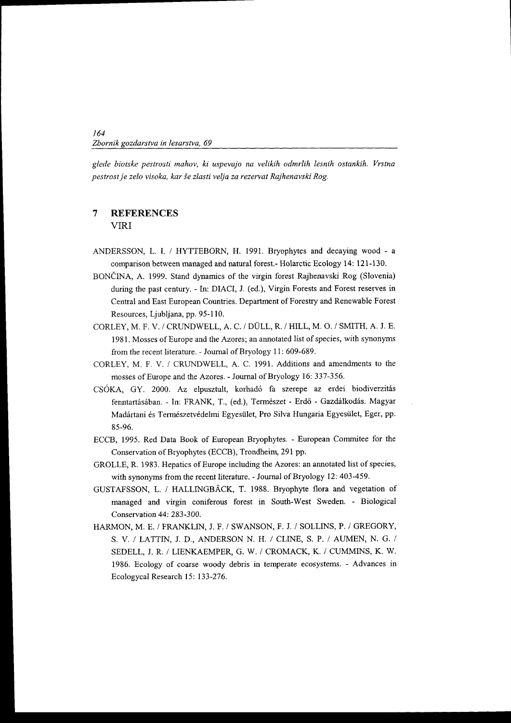glede biotske pestrosti mahov, ki uspevajo na velikih odmrlih lesnih ostankih. Vrstna pestrost je zelo visoka, kar ie zlasti velja za rezervat Rajhenavski Rog.

#### $\overline{7}$ **REFERENCES** VIRI

- ANDERSSON, L. I. / HYTTEBORN, H. 1991. Bryophytes and decaying wood a comparison between managed and natural forest.- Holarctic Ecology 14: l2l-130.
- BONČINA, A. 1999. Stand dynamics of the virgin forest Rajhenavski Rog (Slovenia) during the past century. - In: DIACI, J. (ed.), Virgin Forests and Forest reserves in Central and East European Countries. Department of Forestry and Renewable Forest Resources, Ljubljana, pp. 95-1 10.
- CORLEY, M. F. V. / CRUNDWELL, A, C. / DULL, R. / HILL, M. O. / SMITH, A. J. E. 1981. Mosses of Europe and the Azores; an annotated list of species, with synonyms from the recent literafure. - Journal of Bryology l1: 609-689.
- CORLEY, M. F. V. / CRUNDWELL, A. C. 1991. Additions and amendments to the mosses of Europe and the Azores. - Journal of Bryology 16: 337-356.
- CSÓKA, GY. 2000. Az elpusztult, korhadó fa szerepe az erdei biodiverzitás fenntartásában. - In: FRANK, T., (ed.), Természet - Erdő - Gazdálkodás. Magyar Madártani és Természetvédelmi Egyesület, Pro Silva Hungaria Egyesület, Eger, pp. 85-96.
- ECCB, 1995. Red Data Book of European Bryophytes. European Commitee for the Conservation of Bryophytes (ECCB), Trondheim, 291 pp.
- GROLLE, R. 1983. Hepatics of Europe including the Azores: an annotated list of species, with synonyms from the recent literature. - Journal of Bryology 12: 403-459.
- GUSTAFSSON, L. / HALLINGBACK, T. 1988. Bryophyte flora and vegetation of managed and virgin coniferous forest in South-West Sweden. - Biological Conservation 44: 283-300.
- HARMON, M. E. / FRANKLIN, J. F. / SWANSON, F. J. / SOLLINS, P. / GREGORY, S. V, / LATTIN, J. D., ANDERSON N. H. / CLINE, S. P. / AUMEN, N. G. / SEDELL, J. R. / LIENKAEMPER, G. W. / CROMACK, K. / CUMMINS, K. W, 1986. Ecology of coarse woody debris in temperate ecosystems. - Advances in Ecologycal Research 15: 133-276.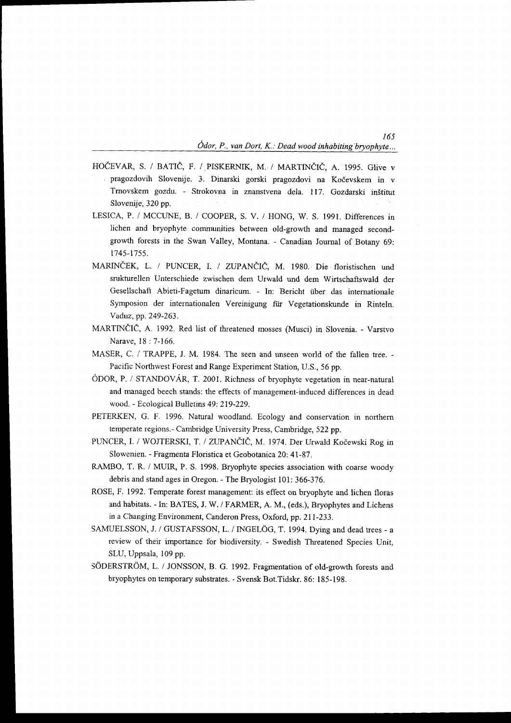$\frac{165}{2}$ Odor, P., van Dort, K.: Dead wood inhabiting bryophyte...

- HOČEVAR, S. / BATIČ, F. / PISKERNIK, M. / MARTINČIČ, A. 1995. Glive v , pragozdovih Slovenije. 3. Dinarski gorski pragozdovi na Kodevskem in v Trnovskem gozdu. - Strokovna in znanstvena dela. 117. Gozdarski inštitut Slovenije, 320 pp.
- LESICA, P. / MCCUNE, B. / COOPER, S. V. / HONG, W. S. 1991. Differences in lichen and bryophyte communities between old-growth and managed secondgrowth forests in the Swan Valley, Montana. - Canadian Journal of Botany 69: 1745-1755.
- MARINČEK, L. / PUNCER, I. / ZUPANČIČ, M. 1980. Die floristischen und srukturellen Unterschiede zwischen dem Urwald und dem Wirtschaftswald der Gesellschaft Abieti-Fagetum dinaricum. - In: Bericht tiber das internationale Symposion der internationalen Vereinigung für Vegetationskunde in Rinteln. Vaduz, pp.249-263,
- MARTINČIČ, A. 1992. Red list of threatened mosses (Musci) in Slovenia. Varstvo Narave, 18:7-166.
- MASER, C. / TRAPPE, J. M. 1984. The seen and unseen world of the fallen tree. Pacific Northwest Forest and Range Experiment Station, U.S., 56 pp.
- ODOR, P. / STANDOVAR, T. 2001. Richness of bryophyte vegetation in near-nafural and managed beech stands: the effects of management-induced differences in dead wood. - Ecological Bulletins 49:219-229.
- PETERKEN, G. F. 1996. Natural woodland. Ecology and conservation in northern temperate regions.- Cambridge University Press, Cambridge, 522 pp.
- PUNCER, I. / WOJTERSKI, T. / ZUPANČIČ, M. 1974. Der Urwald Kočewski Rog in Slowenien. - Fragmenta Floristica et Geobotanica 20: 41-87.
- RAMBO, T. R. / MUIR, P. S. 1998. Bryophyte species association with coarse woody debris and stand ages in Oregon. - The Bryologist l0l: 366-376.
- ROSE, F. 1992. Temperate forest management: its effect on bryophyte and lichen floras and habitats. - In: BATES, J. W. / FARMER, A. M., (eds.), Bryophytes and Lichens in a Changing Environment, Canderon Press, Oxford, pp. 211-233.
- SAMUELSSON, J. / GUSTAFSSON, L. / INGELÖG, T. 1994. Dying and dead trees a review of their importance for biodiversity. - Swedish Threatened Species Unit, SLU, Uppsala, 109 pp.
- SÖDERSTRÖM, L. / JONSSON, B. G. 1992. Fragmentation of old-growth forests and bryophytes on temporary substrates. - Svensk Bot.Tidskr. 86: 185-198.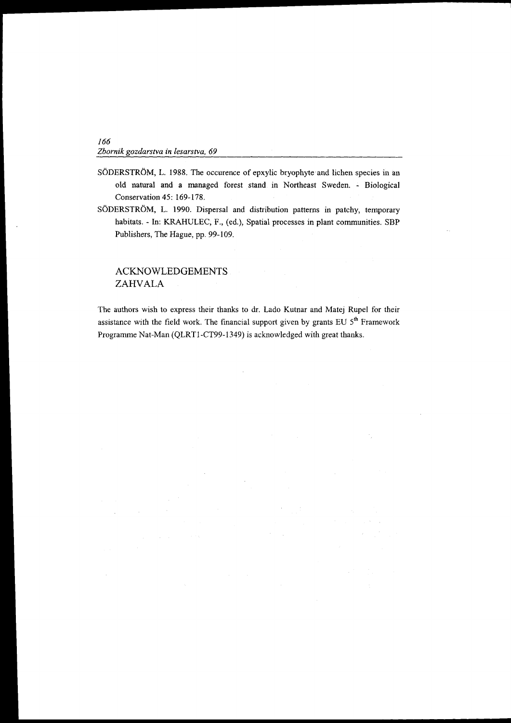- SÖDERSTRÖM, L. 1988. The occurence of epxylic bryophyte and lichen species in an old natural and a managed forest stand in Northeast Sweden. - Biological Conservation 45: 169-178.
- SODERSTROM, L. 1990. Dispersal and distribution patterns in patchy, temporary habitats. - In: KRAHULEC, F., (ed.), Spatial processes in plant communities. SBP Publishers, The Hague, pp. 99-109.

# ACKNOWLEDGEMENTS ZAHVALA

The authors wish to express their thanks to dr. Lado Kutnar and Matej Rupel for their assistance with the field work. The financial support given by grants EU  $5<sup>th</sup>$  Framework Programme Nat-Man (QLRT1-CT99-1349) is acknowledged with great thanks.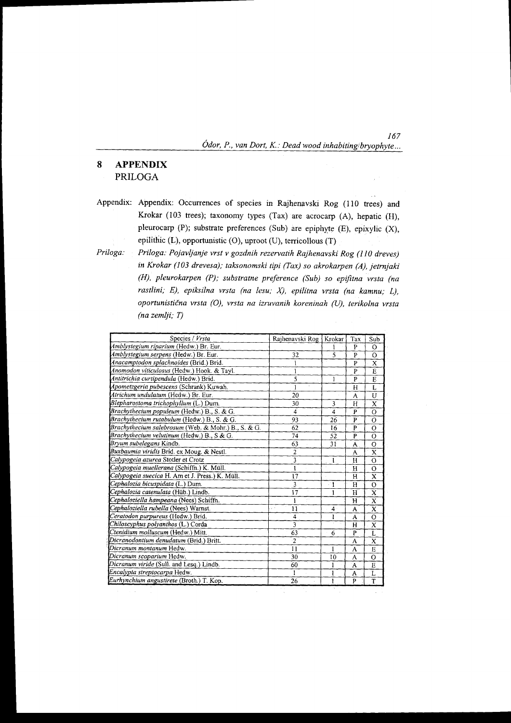167  $O$ dor, P., van Dort, K.: Dead wood inhabiting/bryophyte...

 $\overline{1}$ 

# 8 APPENDIX PRILOGA

Appendix: Appendix: Occurrences of species in Rajhenavski Rog (110 trees) and Krokar (103 trees); taxonomy types (Tax) are acrocarp (A), hepatic (H), pleurocarp (P); substrate preferences (Sub) are epiphyte (E), epixylic (X), epilithic  $(L)$ , opportunistic  $(O)$ , uproot  $(U)$ , terricollous  $(T)$ 

Priloga: Priloga: Pojavljanje vrst v gozdnih rezervatih Rajhenavski Rog (l I0 dreves) in Krokar (103 drevesa); taksonomski tipi (Tax) so akrokarpen (A), jetrnjaki (H), pleurokarpen (P); substratne preference (Sub) so epifitna vrsta (na rastlini; E), epiksilna vrsta (na lesu; X), epilitna vrsta (na kamnu; L), oportunistična vrsta (O), vrsta na izruvanih koreninah (U), terikolna vrsta (na zemlji; T)

| Species / Vrsta                                     | Rajhenavski Rog | Krokar                   | Tax         | Sub                     |
|-----------------------------------------------------|-----------------|--------------------------|-------------|-------------------------|
| Amblystegium riparium (Hedw.) Br. Eur.              |                 |                          | P           | O                       |
| Amblystegium serpens (Hedw.) Br. Eur.               | 32              | $\overline{\phantom{0}}$ | P           | O                       |
| Anacamptodon splachnoides (Brid.) Brid.             |                 |                          | P           | X                       |
| Anomodon viticulosus (Hedw.) Hook. & Tayl.          | 1               |                          | P           | E                       |
| Antitrichia curtipendula (Hedw.) Brid.              | 5               | 1                        | P           | E                       |
| Apometzgeria pubescens (Schrank) Kuwah.             | 1               |                          | H           | L                       |
| Atrichum undulatum (Hedw.) Br. Eur.                 | 20              |                          | A           | U                       |
| Blepharostoma trichophyllum (L.) Dum.               | 30              | 3                        | H           | X                       |
| Brachythecium populeum (Hedw.) B., S. & G.          | 4               | 4                        | P           | $\Omega$                |
| Brachythecium rutabulum (Hedw.) B., S. & G.         | 93              | 26                       | P           | Ō                       |
| Brachythecium salebrosum (Web. & Mohr.) B., S. & G. | 62              | 16                       | P           | О                       |
| Brachythecium velutinum (Hedw.) B., S & G.          | 74              | 52                       | P           | O                       |
| Bryum subelegans Kindb.                             | 63              | 31                       | A           | O                       |
| Buxbaumia viridis Brid. ex Moug. & Nestl.           | $\overline{c}$  |                          | A           | X                       |
| Calypogeia azurea Stotler et Crotz                  | 3               | $\mathbf{I}$             | H           | Ó                       |
| Calypogeia muellerana (Schiffn.) K. Müll.           | $\mathbf{I}$    |                          | $\mathbf H$ | $\Omega$                |
| Calypogeia suecica H. Am et J. Press.) K. Müll.     | 17              |                          | н           | x                       |
| Cephalozia bicuspidata (L.) Dum.                    | 3               | ं 1                      | H           | $\Omega$                |
| Cephalozia catenulata (Hüb.) Lindb.                 | 17              | 1                        | H           | $\bf{X}$                |
| Cephaloziella hampeana (Nees) Schiffn.              | 1               |                          | $\mathbf H$ | $\mathbf{x}$            |
| Cephaloziella rubella (Nees) Warnst.                | 11<br>y.        | $\blacktriangle$         | A           | X                       |
| Ceratodon purpureus (Hedw.) Brid.                   | 4               | ı                        | A           | $\Omega$                |
| Chiloscyphus polyanthos (L.) Corda                  | $\overline{3}$  |                          | H           | X                       |
| Ctenidium molluscum (Hedw.) Mitt.                   | 63              | 6                        | P           | L                       |
| Dicranodontium denudatum (Brid.) Britt.             | $\overline{2}$  |                          | A           | X                       |
| Dicranum montanum Hedw.                             | 11              | $\mathbf{1}$             | A           | E                       |
| Dicranum scoparium Hedw.                            | 30              | 10                       | A           | O                       |
| Dicranum viride (Sull. and Lesg.) Lindb.            | 60              | 1                        | A           | E                       |
| Encalypta streptocarpa Hedw.                        | 1               | 1                        | A           | L                       |
| Eurhynchium angustirete (Broth.) T. Kop.            | 26              | ı                        | P           | $\overline{\mathsf{T}}$ |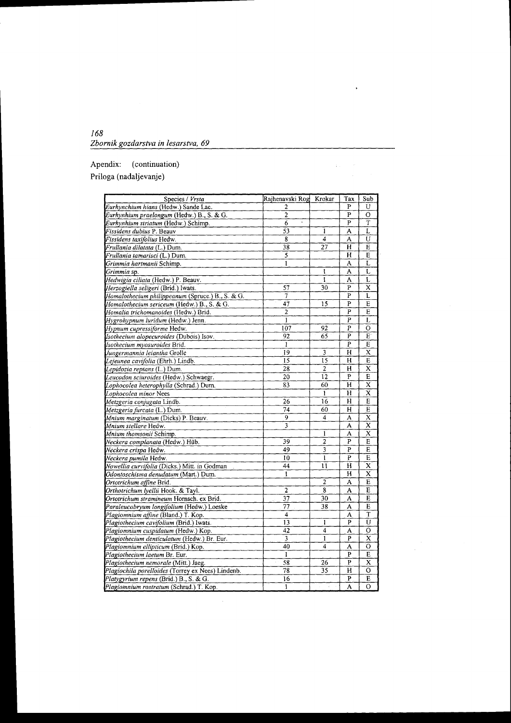# Apendix: (continuation) Priloga (nadaljevanje)

| Species / Vrsta                                   | Rajhenavski Rog            | Krokar         | Tax            | Sub                     |
|---------------------------------------------------|----------------------------|----------------|----------------|-------------------------|
| Eurhynchium hians (Hedw.) Sande Lac.              | 2                          |                | P              | U                       |
| Eurhynhium praelongum (Hedw.) B., S. & G.         | $\overline{c}$             |                | $\mathbf{P}$   | $\Omega$                |
| Eurhynhium striatum (Hedw.) Schimp.               | $\tilde{\phantom{a}}$<br>6 |                | P              | T                       |
| Fissidens dubius P. Beauv                         | 53                         | 1              | A              | L                       |
| Fissidens taxifolius Hedw.                        | 8                          | 4              | A              | U                       |
| Frullania dilatata (L.) Dum.                      | $\overline{38}$            | 27             | Н              | E                       |
| <i>Frullania tamarisci (</i> L.) Dum.             |                            |                | H              | E                       |
| Grimmia hartmanii Schimp.                         | ı                          |                | A              | L                       |
| Grimmia sp.                                       |                            | ı              | A              | L                       |
| Hedwigia ciliata (Hedw.) P. Beauv.                |                            | 1              | A              | L                       |
| Herzogiella seligeri (Brid.) Iwats.               | 57                         | 30             | P              | $\overline{\text{x}}$   |
| Homalothecium philippeanum (Spruce.) B., S. & G.  | 7                          |                | P              | L                       |
| Homalothecium sericeum (Hedw.) B., S. & G.        | 47                         | 15             | P              | E                       |
| Homalia trichomanoides (Hedw.) Brid.              | $\overline{2}$             |                | P              | E                       |
| Hygrohypnum luridum (Hedw.) Jenn.                 | $\mathbf{1}$               |                | P              | L                       |
| Hypnum cupressiforme Hedw.                        | 107                        | 92             | P              | О                       |
| Isothecium alopecuroides (Dubois) Isov.           | 92                         | 65             | p              | E                       |
| Isothecium myosuroides Brid.                      | 1                          |                | $\overline{P}$ | E                       |
| Jungermannia leiantha Grolle                      | 19                         | 3              | H              | X                       |
| Lejeunea cavifolia (Ehrh.) Lindb.                 | 15                         | 15             | Н              | E                       |
| Lepidozia reptans (L.) Dum.                       | 28                         | 2              | Н              | $\overline{\mathbf{x}}$ |
| Leucodon sciuroides (Hedw.) Schwaegr.             | 20                         | 12             | P              | E                       |
| Lophocolea heterophylla (Schrad.) Dum.            | 83                         | 60             | Н              | $\overline{\text{x}}$   |
| Lophocolea minor Nees                             |                            | $\mathbf{I}$   | H              | $\bar{\text{x}}$        |
| Metzgeria conjugata Lindb.                        | $\overline{2}6$            | 16             | Н              | E                       |
| Metzgeria furcata (L.) Dum.                       | 74                         | 60             | Н              | E                       |
| Mnium marginatum (Dicks) P. Beauv.                | 9                          | 4              | A              | X                       |
| Mnium stellare Hedw.                              | 3                          |                | A              | x                       |
| Mnium thomsonii Schimp.                           |                            | 1              | A              | x                       |
| Neckera complanata (Hedw.) Hüb.                   | 39                         | 2              | P              | E                       |
| Neckera crispa Hedw.                              | 49                         | 3              | P              | E                       |
| Neckera pumila Hedw.                              | 10                         | $\mathbf{I}$   | P              | E                       |
| Nowellia curvifolia (Dicks.) Mitt. in Godman      | 44                         | 11             | Н              | X                       |
| Odontoschisma denudatum (Mart.) Dum.              | I                          |                | Н              | X                       |
| Ortotrichum affine Brid.                          |                            | $\overline{2}$ | A              | E                       |
| Orthotrichum lyellii Hook. & Tayl.                | $\overline{2}$             | 8              | A              | E                       |
| Ortotrichum stramineum Hornsch. ex Brid.          | 37                         | 30             | A              | E                       |
| Paraleucobryum longifolium (Hedw.) Loeske         | 77                         | 38             | А              | E                       |
| Plagiomnium affine (Bland.) T. Kop.               | 4                          |                | A              | T                       |
| Plagiothecium cavifolium (Brid.) Iwats.           | 13                         | 1              | P              | Ù                       |
| Plagiomnium cuspidatum (Hedw.) Kop.               | 42                         | 4              | A              | O                       |
| Plagiothecium denticulatum (Hedw.) Br. Eur.       | 3                          | $\mathbf{1}$   | P              | X                       |
| Plagiomnium ellipticum (Brid.) Kop.               | 40                         | 4              | Ä              | O                       |
| Plagiothecium laetum Br. Eur.                     | 1                          |                | P              | E                       |
| Plagiothecium nemorale (Mitt.) Jaeg.              | 58                         | 26             | P              | X                       |
| Plagiochila porelloides (Torrey ex Nees) Lindenb. | $\overline{78}$            | 35             | H              | $\circ$                 |
| Platygyrium repens (Brid.) B., S. & G.            | 16                         |                | p              | E                       |
| Plagiomnium rostratum (Schrad.) T. Kop.           | $\mathbf{1}$               |                | A              | $\Omega$                |

 $\bar{z}$ 

 $\ddot{\phantom{1}}$ 

 $\Delta\Delta\phi=0.25$ 

 $\bar{\bar{z}}$